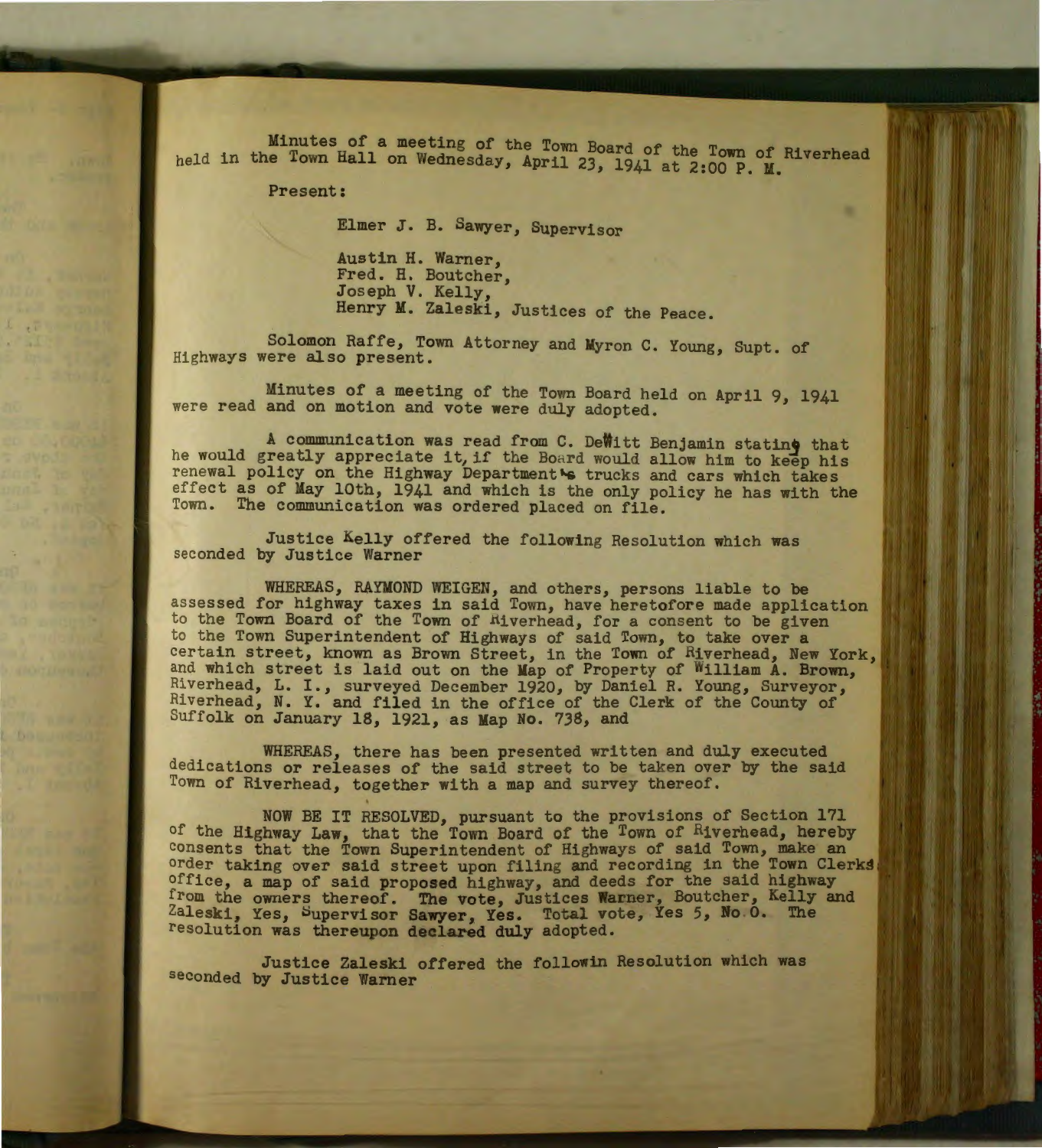Minutes of a meeting of the Town Board of the Town of Riverhead held in the Town Hall on Wednesday, April 23, 1941 at 2:00 P. M.

Present:

Elmer J. B. Sawyer, Supervisor

Austin H. Warner, Fred. H. Boutcher, Jos eph V. Kelly, Henry M. Zaleski, Justices of the Peace.

Solomon Raffe, Town Attorney and Myron C. Young, Supt. of Highways were also present.

Minutes of a meeting of the Town Board held on April 9, 1941 were read and on motion and vote were duly adopted.

A communication was read from C. DeWitt Benjamin stating that he would greatly appreciate it, if the Board would allow him to keep his renewal policy on the Highway Department& trucks and cars which takes effect as of May 10th, 1941 and which is the only policy he has with the Town. The communication was ordered placed on file.

Justice Kelly offered the following Resolution which was seconded by Justice Warner

WHEREAS, RAYMOND WEIGEN, and others, persons liable to be assessed for highway taxes in said Town, have heretofore made application to the Town Board of the Town of Riverhead, for a consent to be given to the Town Superintendent of Highways of said Town, to take over a certain street, known as Brown Street, in the Town of Riverhead, New York, and which street is laid out on the Map of Property of William A. Brown, Riverhead, L. I., surveyed December 1920, by Daniel R. Young, Surveyor, Rive rhead, N. Y. and filed in the office of the Clerk of the County of Suffolk on January 18, 1921, as Map No. 738, and

WHEREAS, there has been presented written and duly executed dedica tions or releases of the said street to be taken over by the said Town of Riverhead, together with a map and survey thereof.

NOW BE IT RESOLVED, pursuant to the provisions of Section 171 of the Highway Law, that the Town Board of the Town of Riverhead, hereby consents that the Town Superintendent of Highways of said Town, make an order taking over said street upon filing and recording in the Town Clerks, office, a map of said proposed highway, and deeds for the said highway from the owners thereof. The vote, Justices Warner, Boutcher, Kelly and Zaleski, Yes, Supervisor Sawyer, Yes. Total vote, Yes 5, No. 0. The resolution was thereupon declared duly adopted.

Justice Zaleski offered the followin Resolution which was seconded by Justice Warner